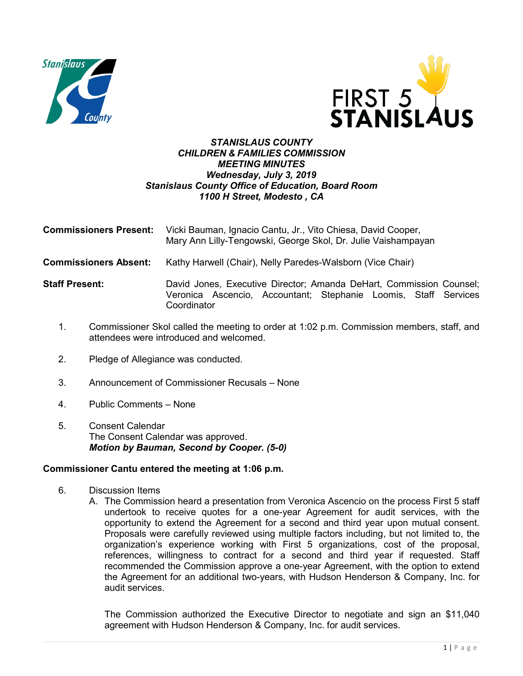



## *STANISLAUS COUNTY CHILDREN & FAMILIES COMMISSION MEETING MINUTES Wednesday, July 3, 2019 Stanislaus County Office of Education, Board Room 1100 H Street, Modesto , CA*

| <b>Commissioners Present:</b> | Vicki Bauman, Ignacio Cantu, Jr., Vito Chiesa, David Cooper,<br>Mary Ann Lilly-Tengowski, George Skol, Dr. Julie Vaishampayan                         |
|-------------------------------|-------------------------------------------------------------------------------------------------------------------------------------------------------|
| <b>Commissioners Absent:</b>  | Kathy Harwell (Chair), Nelly Paredes-Walsborn (Vice Chair)                                                                                            |
| <b>Staff Present:</b>         | David Jones, Executive Director; Amanda DeHart, Commission Counsel;<br>Veronica Ascencio, Accountant; Stephanie Loomis, Staff Services<br>Coordinator |

- 1. Commissioner Skol called the meeting to order at 1:02 p.m. Commission members, staff, and attendees were introduced and welcomed.
- 2. Pledge of Allegiance was conducted.
- 3. Announcement of Commissioner Recusals None
- 4. Public Comments None
- 5. Consent Calendar The Consent Calendar was approved. *Motion by Bauman, Second by Cooper. (5-0)*

## **Commissioner Cantu entered the meeting at 1:06 p.m.**

- 6. Discussion Items
	- A. The Commission heard a presentation from Veronica Ascencio on the process First 5 staff undertook to receive quotes for a one-year Agreement for audit services, with the opportunity to extend the Agreement for a second and third year upon mutual consent. Proposals were carefully reviewed using multiple factors including, but not limited to, the organization's experience working with First 5 organizations, cost of the proposal, references, willingness to contract for a second and third year if requested. Staff recommended the Commission approve a one-year Agreement, with the option to extend the Agreement for an additional two-years, with Hudson Henderson & Company, Inc. for audit services.

The Commission authorized the Executive Director to negotiate and sign an \$11,040 agreement with Hudson Henderson & Company, Inc. for audit services.